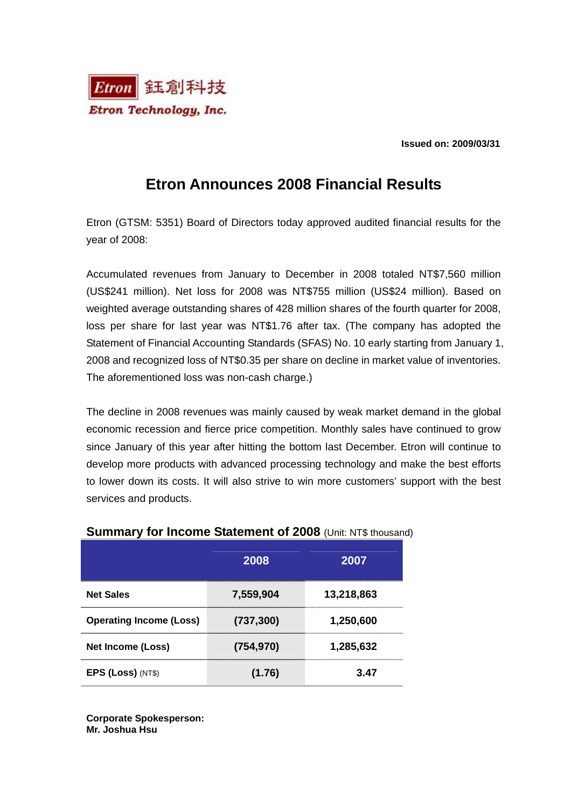

**Issued on: 2009/03/31** 

## **Etron Announces 2008 Financial Results**

Etron (GTSM: 5351) Board of Directors today approved audited financial results for the year of 2008:

Accumulated revenues from January to December in 2008 totaled NT\$7,560 million (US\$241 million). Net loss for 2008 was NT\$755 million (US\$24 million). Based on weighted average outstanding shares of 428 million shares of the fourth quarter for 2008, loss per share for last year was NT\$1.76 after tax. (The company has adopted the Statement of Financial Accounting Standards (SFAS) No. 10 early starting from January 1, 2008 and recognized loss of NT\$0.35 per share on decline in market value of inventories. The aforementioned loss was non-cash charge.)

The decline in 2008 revenues was mainly caused by weak market demand in the global economic recession and fierce price competition. Monthly sales have continued to grow since January of this year after hitting the bottom last December. Etron will continue to develop more products with advanced processing technology and make the best efforts to lower down its costs. It will also strive to win more customers' support with the best services and products.

|                                | 2008       | 2007       |
|--------------------------------|------------|------------|
| <b>Net Sales</b>               | 7,559,904  | 13,218,863 |
| <b>Operating Income (Loss)</b> | (737, 300) | 1,250,600  |
| <b>Net Income (Loss)</b>       | (754, 970) | 1,285,632  |
| <b>EPS (Loss)</b> (NT\$)       | (1.76)     | 3.47       |

## **Summary for Income Statement of 2008** (Unit: NT\$ thousand)

**Corporate Spokesperson: Mr. Joshua Hsu**